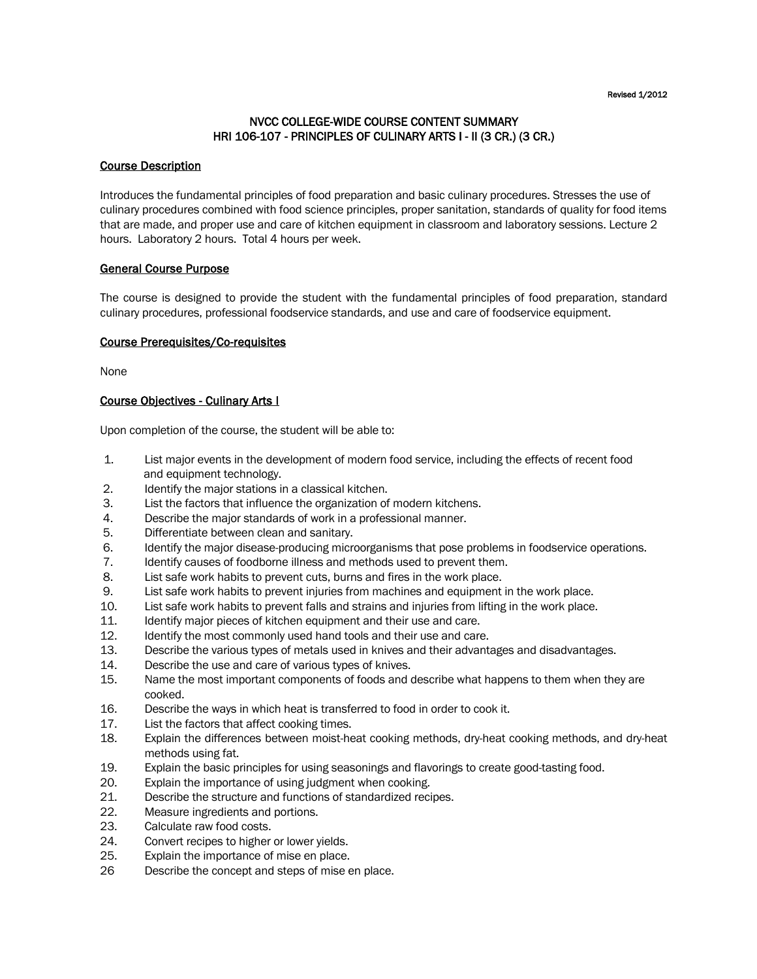#### Revised 1/2012

# NVCC COLLEGE-WIDE COURSE CONTENT SUMMARY HRI 106-107 - PRINCIPLES OF CULINARY ARTS I - II (3 CR.) (3 CR.)

### Course Description

Introduces the fundamental principles of food preparation and basic culinary procedures. Stresses the use of culinary procedures combined with food science principles, proper sanitation, standards of quality for food items that are made, and proper use and care of kitchen equipment in classroom and laboratory sessions. Lecture 2 hours. Laboratory 2 hours. Total 4 hours per week.

### General Course Purpose

The course is designed to provide the student with the fundamental principles of food preparation, standard culinary procedures, professional foodservice standards, and use and care of foodservice equipment.

### Course Prerequisites/Co-requisites

None

### Course Objectives - Culinary Arts I

Upon completion of the course, the student will be able to:

- 1. List major events in the development of modern food service, including the effects of recent food and equipment technology.
- 2. Identify the major stations in a classical kitchen.
- 3. List the factors that influence the organization of modern kitchens.
- 4. Describe the major standards of work in a professional manner.
- 5. Differentiate between clean and sanitary.
- 6. Identify the major disease-producing microorganisms that pose problems in foodservice operations.
- 7. Identify causes of foodborne illness and methods used to prevent them.
- 8. List safe work habits to prevent cuts, burns and fires in the work place.
- 9. List safe work habits to prevent injuries from machines and equipment in the work place.
- 10. List safe work habits to prevent falls and strains and injuries from lifting in the work place.
- 11. Identify major pieces of kitchen equipment and their use and care.
- 12. Identify the most commonly used hand tools and their use and care.
- 13. Describe the various types of metals used in knives and their advantages and disadvantages.
- 14. Describe the use and care of various types of knives.<br>15. Name the most important components of foods and of
- Name the most important components of foods and describe what happens to them when they are cooked.
- 16. Describe the ways in which heat is transferred to food in order to cook it.
- 17. List the factors that affect cooking times.
- 18. Explain the differences between moist-heat cooking methods, dry-heat cooking methods, and dry-heat methods using fat.
- 19. Explain the basic principles for using seasonings and flavorings to create good-tasting food.
- 20. Explain the importance of using judgment when cooking.
- 21. Describe the structure and functions of standardized recipes.
- 22. Measure ingredients and portions.
- 23. Calculate raw food costs.
- 24. Convert recipes to higher or lower yields.
- 25. Explain the importance of mise en place.
- 26 Describe the concept and steps of mise en place.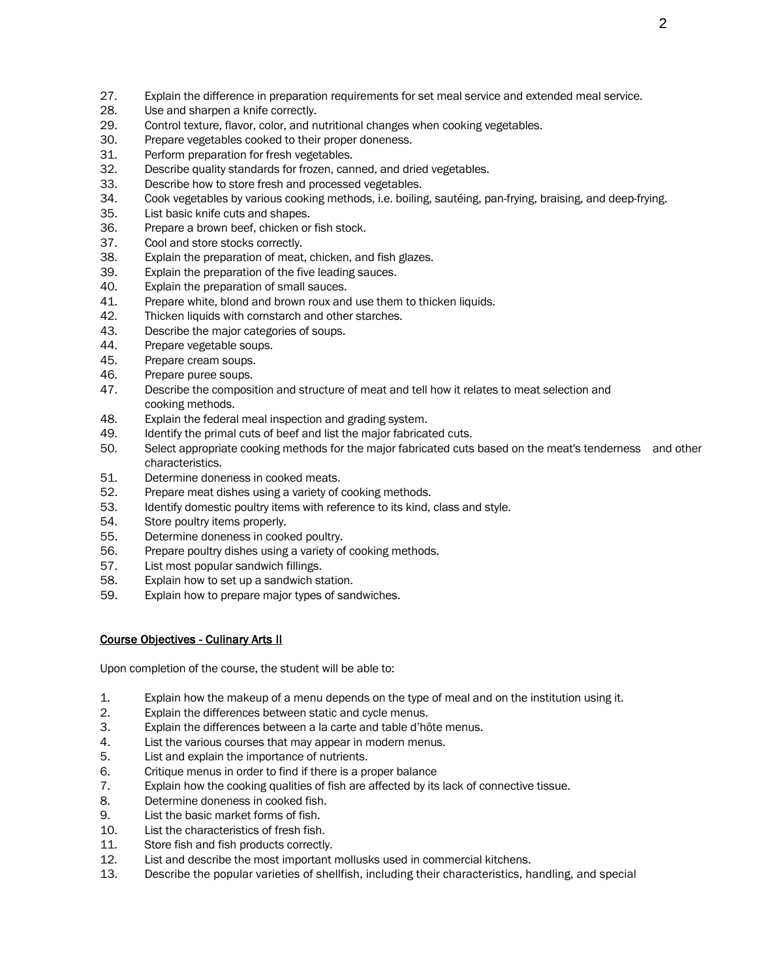- 27. Explain the difference in preparation requirements for set meal service and extended meal service.
- 28. Use and sharpen a knife correctly.
- 29. Control texture, flavor, color, and nutritional changes when cooking vegetables.
- 30. Prepare vegetables cooked to their proper doneness.
- 31. Perform preparation for fresh vegetables.
- 32. Describe quality standards for frozen, canned, and dried vegetables.
- 33. Describe how to store fresh and processed vegetables.
- 34. Cook vegetables by various cooking methods, i.e. boiling, sautéing, pan-frying, braising, and deep-frying.
- 35. List basic knife cuts and shapes.
- 36. Prepare a brown beef, chicken or fish stock.
- 37. Cool and store stocks correctly.
- 38. Explain the preparation of meat, chicken, and fish glazes.
- 39. Explain the preparation of the five leading sauces.
- 40. Explain the preparation of small sauces.
- 41. Prepare white, blond and brown roux and use them to thicken liquids.
- 42. Thicken liquids with cornstarch and other starches.
- 43. Describe the major categories of soups.
- 44. Prepare vegetable soups.
- 45. Prepare cream soups.
- 46. Prepare puree soups.
- 47. Describe the composition and structure of meat and tell how it relates to meat selection and cooking methods.
- 48. Explain the federal meal inspection and grading system.
- 49. Identify the primal cuts of beef and list the major fabricated cuts.
- 50. Select appropriate cooking methods for the major fabricated cuts based on the meat's tenderness and other characteristics.
- 51. Determine doneness in cooked meats.
- 52. Prepare meat dishes using a variety of cooking methods.
- 53. Identify domestic poultry items with reference to its kind, class and style.
- 54. Store poultry items properly.
- 55. Determine doneness in cooked poultry.
- 56. Prepare poultry dishes using a variety of cooking methods.
- 57. List most popular sandwich fillings.
- 58. Explain how to set up a sandwich station.
- 59. Explain how to prepare major types of sandwiches.

# Course Objectives - Culinary Arts II

Upon completion of the course, the student will be able to:

- 1. Explain how the makeup of a menu depends on the type of meal and on the institution using it.
- 2. Explain the differences between static and cycle menus.
- 3. Explain the differences between a la carte and table d'hôte menus.
- 4. List the various courses that may appear in modern menus.
- 5. List and explain the importance of nutrients.
- 6. Critique menus in order to find if there is a proper balance
- 7. Explain how the cooking qualities of fish are affected by its lack of connective tissue.
- 8. Determine doneness in cooked fish.
- 9. List the basic market forms of fish.
- 10. List the characteristics of fresh fish.
- 11. Store fish and fish products correctly.
- 12. List and describe the most important mollusks used in commercial kitchens.
- 13. Describe the popular varieties of shellfish, including their characteristics, handling, and special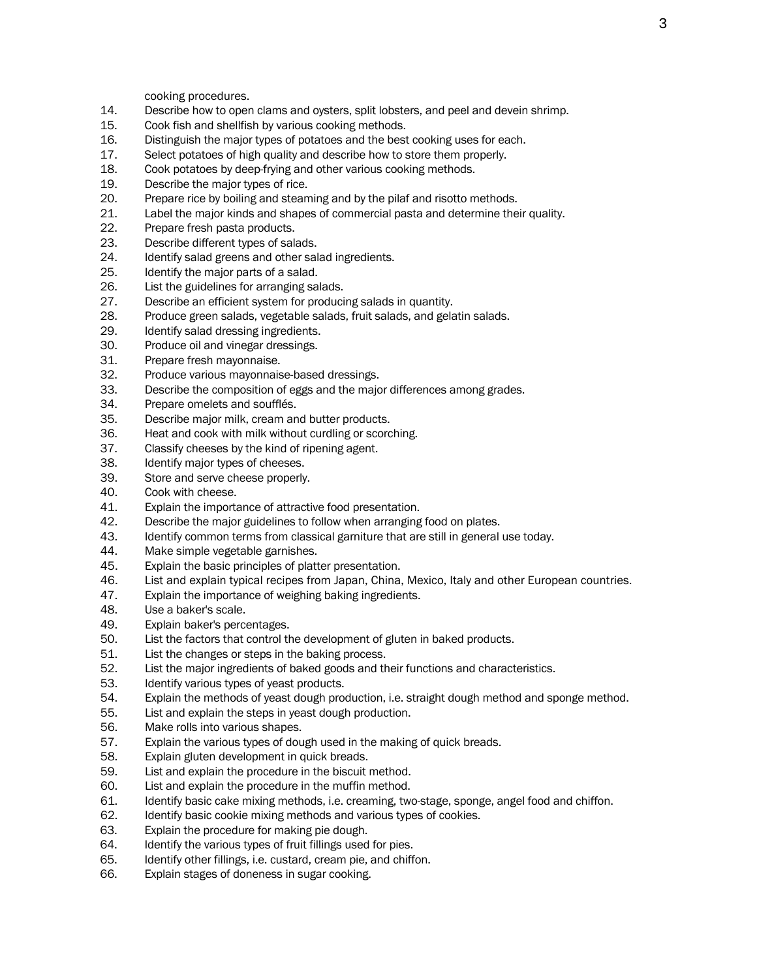cooking procedures.

- 14. Describe how to open clams and oysters, split lobsters, and peel and devein shrimp.
- 15. Cook fish and shellfish by various cooking methods.
- 16. Distinguish the major types of potatoes and the best cooking uses for each.
- 17. Select potatoes of high quality and describe how to store them properly.
- 18. Cook potatoes by deep-frying and other various cooking methods.
- 19. Describe the major types of rice.
- 20. Prepare rice by boiling and steaming and by the pilaf and risotto methods.
- 21. Label the major kinds and shapes of commercial pasta and determine their quality.<br>22. Prepare fresh pasta products.
- Prepare fresh pasta products.
- 23. Describe different types of salads.
- 24. Identify salad greens and other salad ingredients.
- 25. Identify the major parts of a salad.
- 26. List the guidelines for arranging salads.
- 27. Describe an efficient system for producing salads in quantity.
- 28. Produce green salads, vegetable salads, fruit salads, and gelatin salads.
- 29. Identify salad dressing ingredients.
- 30. Produce oil and vinegar dressings.
- 31. Prepare fresh mayonnaise.
- 32. Produce various mayonnaise-based dressings.
- 33. Describe the composition of eggs and the major differences among grades.
- 34. Prepare omelets and soufflés.
- 35. Describe major milk, cream and butter products.
- 36. Heat and cook with milk without curdling or scorching.
- 37. Classify cheeses by the kind of ripening agent.
- 38. Identify major types of cheeses.
- 39. Store and serve cheese properly.
- 40. Cook with cheese.
- 41. Explain the importance of attractive food presentation.
- 42. Describe the major guidelines to follow when arranging food on plates.
- 43. Identify common terms from classical garniture that are still in general use today.
- 44. Make simple vegetable garnishes.
- 45. Explain the basic principles of platter presentation.
- 46. List and explain typical recipes from Japan, China, Mexico, Italy and other European countries.
- 47. Explain the importance of weighing baking ingredients.
- 48. Use a baker's scale.
- 49. Explain baker's percentages.
- 50. List the factors that control the development of gluten in baked products.
- 51. List the changes or steps in the baking process.
- 52. List the major ingredients of baked goods and their functions and characteristics.
- 53. Identify various types of yeast products.
- 54. Explain the methods of yeast dough production, i.e. straight dough method and sponge method.
- 55. List and explain the steps in yeast dough production.
- 56. Make rolls into various shapes.
- 57. Explain the various types of dough used in the making of quick breads.
- 58. Explain gluten development in quick breads.
- 59. List and explain the procedure in the biscuit method.
- 60. List and explain the procedure in the muffin method.
- 61. Identify basic cake mixing methods, i.e. creaming, two-stage, sponge, angel food and chiffon.
- 62. Identify basic cookie mixing methods and various types of cookies.
- 63. Explain the procedure for making pie dough.
- 64. Identify the various types of fruit fillings used for pies.
- 65. Identify other fillings, i.e. custard, cream pie, and chiffon.
- 66. Explain stages of doneness in sugar cooking.